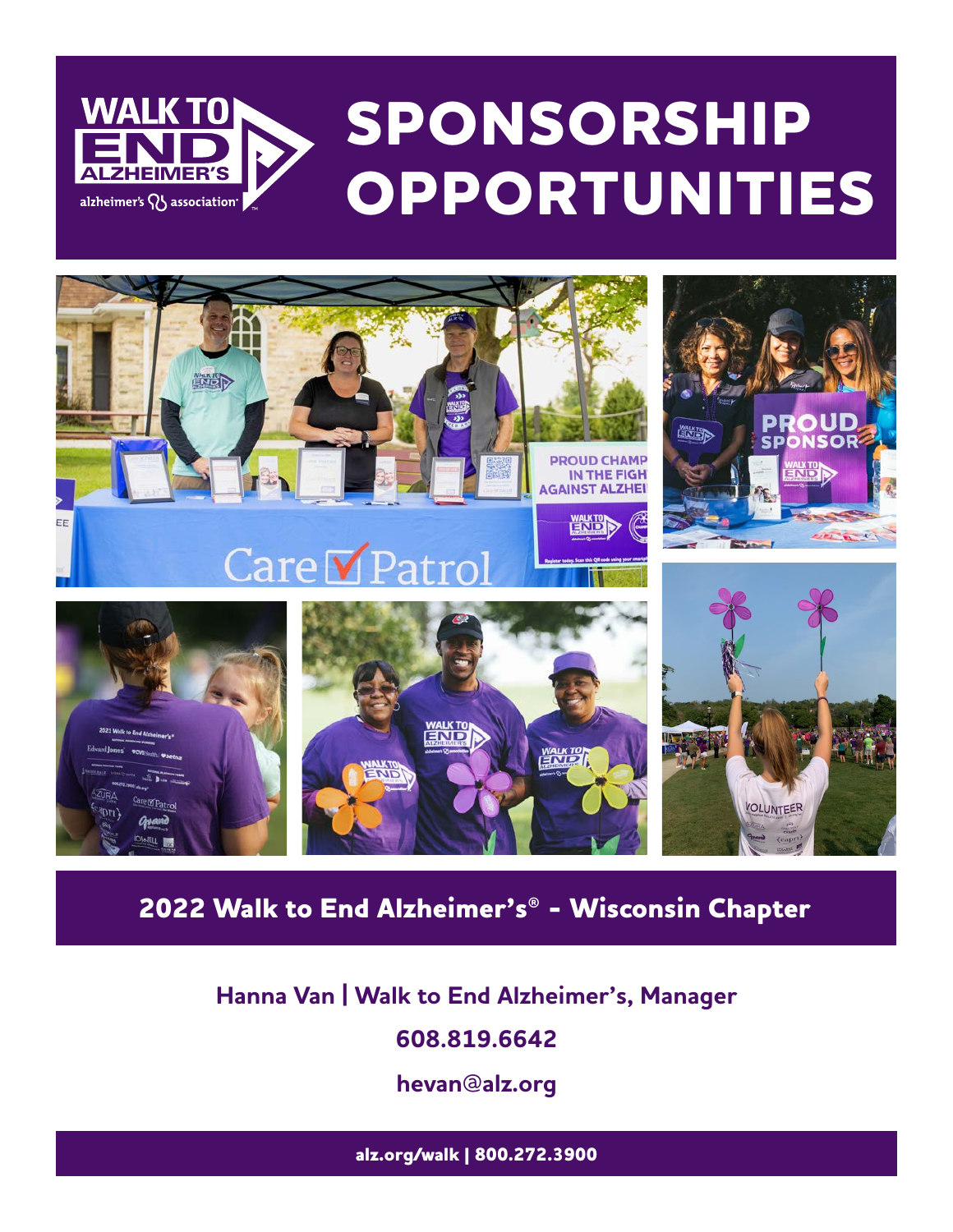



## **Walk to End Alzheimer's® - Wisconsin Chapter** بالكانية

# Hanna Van | Walk to End Alzheimer's, Manager<br>608.819.6642

**608.819.6642**

**hevan@alz.org**

**alz.org/walk | 800.272.3900**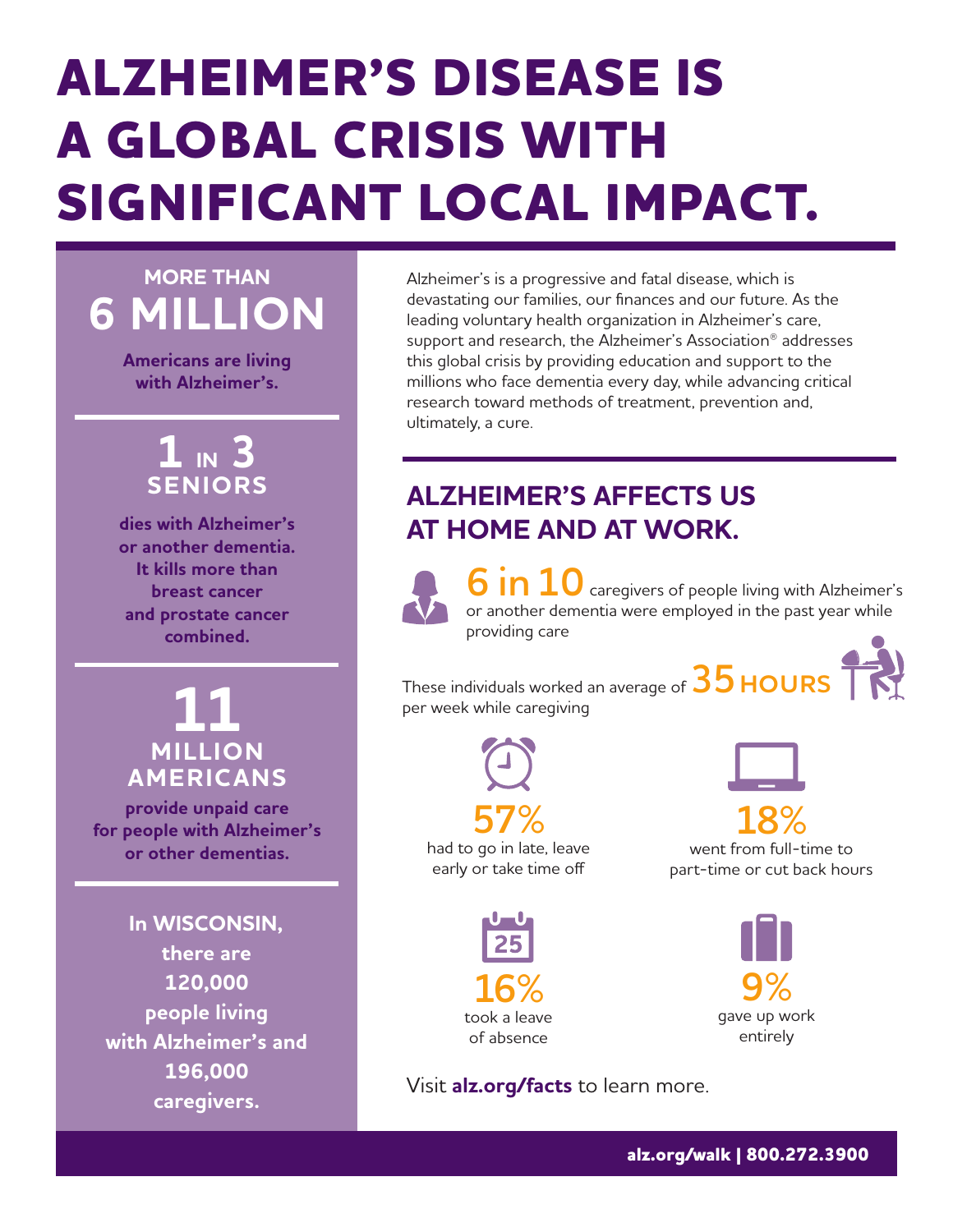# **ALZHEIMER'S DISEASE IS A GLOBAL CRISIS WITH** SIGNIFICANT LOCAL IMPACT.

**MORE THAN** 

**Americans are living** with Alzheimer's.

## $1 \times 3$ **SENIORS**

dies with Alzheimer's or another dementia. It kills more than **breast cancer** and prostate cancer combined.

**MILLION AMERICANS** 

provide unpaid care for people with Alzheimer's or other dementias.

In WISCONSIN, there are 120.000 people living with Alzheimer's and 196.000 caregivers.

Alzheimer's is a progressive and fatal disease, which is devastating our families, our finances and our future. As the leading voluntary health organization in Alzheimer's care, support and research, the Alzheimer's Association<sup>®</sup> addresses this global crisis by providing education and support to the millions who face dementia every day, while advancing critical research toward methods of treatment, prevention and, ultimately, a cure.

## **ALZHEIMER'S AFFECTS US** AT HOME AND AT WORK.



 $\bf 6$  in  $\bf 10$  caregivers of people living with Alzheimer's or another dementia were employed in the past year while providing care

These individuals worked an average of  $35$  HOURS per week while caregiving





had to go in late, leave early or take time off



went from full-time to part-time or cut back hours



Visit alz.org/facts to learn more.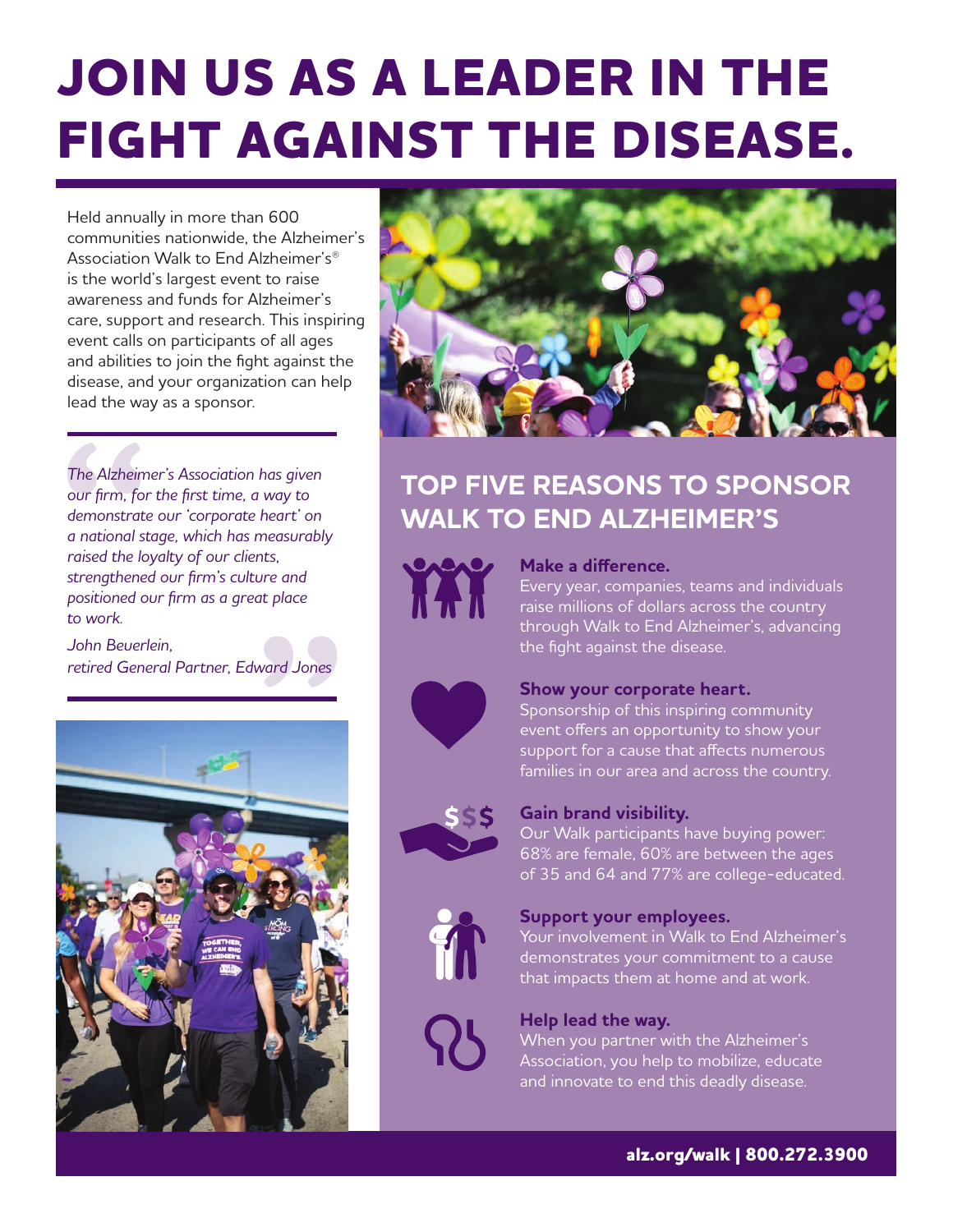# **JOIN US AS A LEADER IN THE FIGHT AGAINST THE DISEASE.**

Held annually in more than 600 communities nationwide, the Alzheimer's Association Walk to End Alzheimer's<sup>®</sup> is the world's largest event to raise awareness and funds for Alzheimer's care, support and research. This inspiring event calls on participants of all ages and abilities to join the fight against the disease, and your organization can help lead the way as a sponsor.

The Alzheimer's Association has given our firm, for the first time, a way to demonstrate our 'corporate heart' on a national stage, which has measurably raised the loyalty of our clients, strengthened our firm's culture and positioned our firm as a great place to work

John Beuerlein retired General Partner, Edward Jones





## **TOP FIVE REASONS TO SPONSOR WALK TO END ALZHEIMER'S**



#### Make a difference.

Every year, companies, teams and individuals raise millions of dollars across the country through Walk to End Alzheimer's, advancing the fight against the disease.



#### Show your corporate heart.

Sponsorship of this inspiring community event offers an opportunity to show your support for a cause that affects numerous families in our area and across the country.



#### **Gain brand visibility.**

Our Walk participants have buying power: 68% are female, 60% are between the ages of 35 and 64 and 77% are college-educated.



#### Support your employees.

Your involvement in Walk to End Alzheimer's demonstrates your commitment to a cause that impacts them at home and at work.

#### Help lead the way.

When you partner with the Alzheimer's Association, you help to mobilize, educate and innovate to end this deadly disease.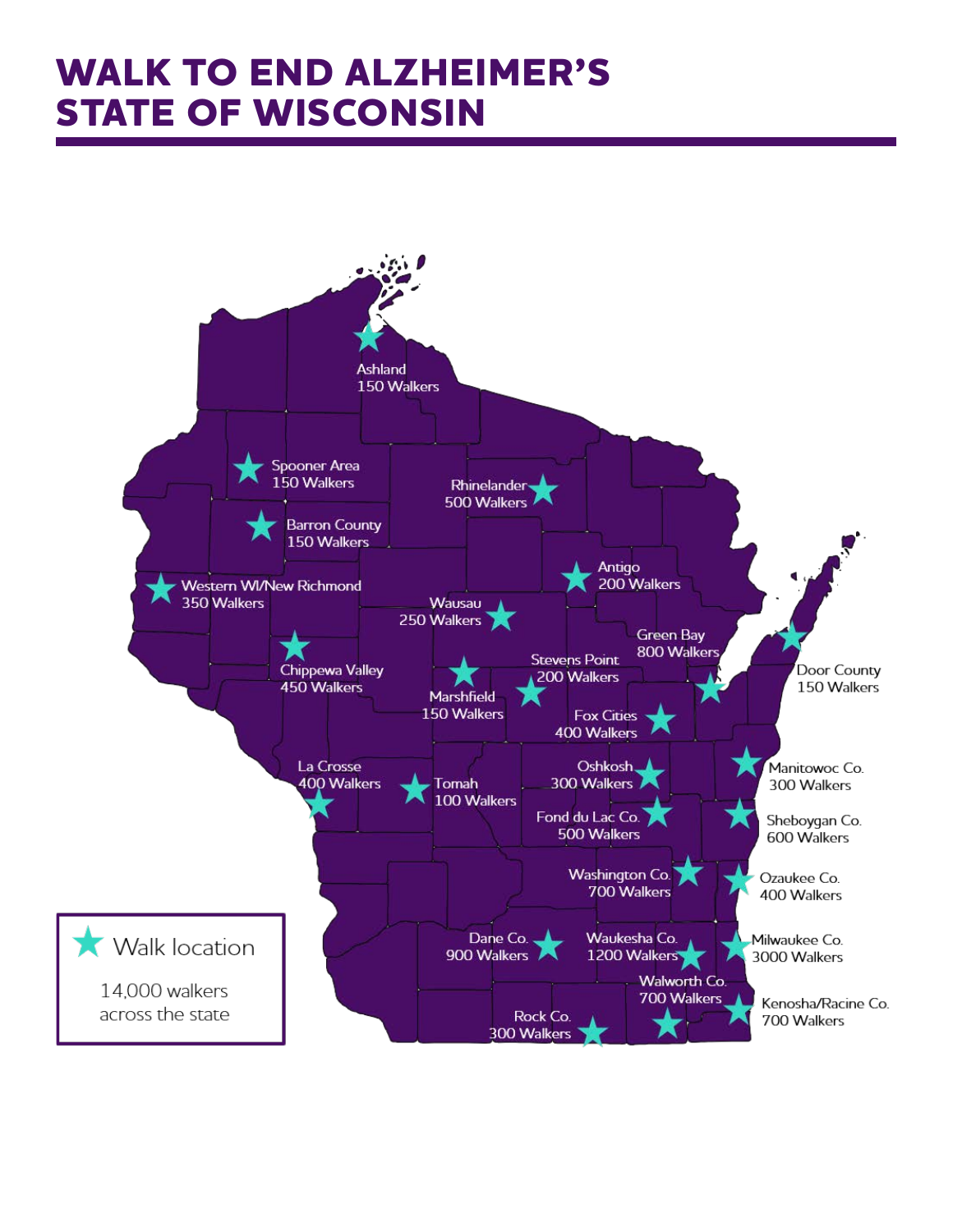## **WALK TO END ALZHEIMER'S STATE OF WISCONSIN**

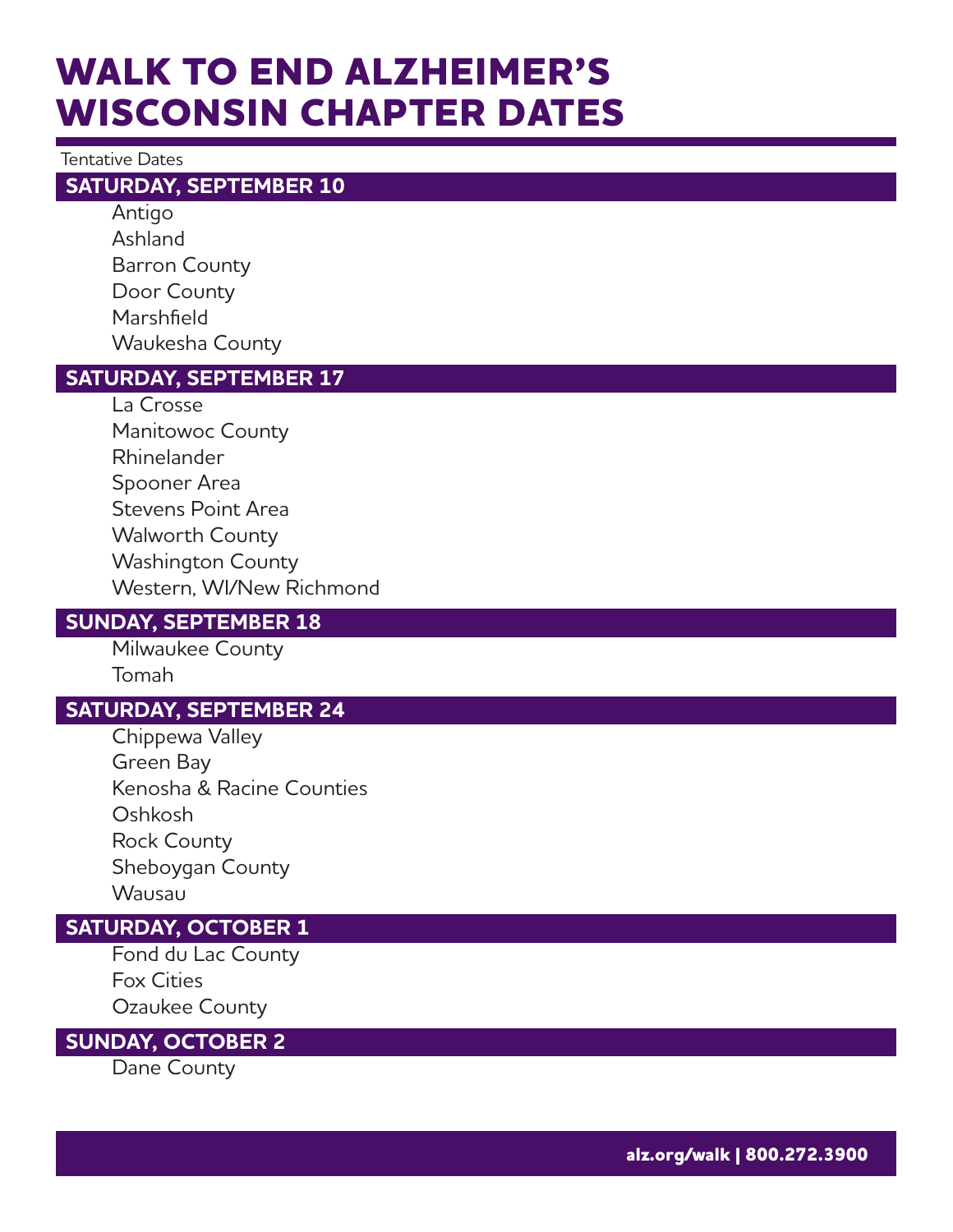## **WALK TO END ALZHEIMER'S WISCONSIN CHAPTER DATES**

#### **Tentative Dates**

#### **SATURDAY, SEPTEMBER 10**

Antigo Ashland **Barron County** Door County Marshfield Waukesha County

#### **SATURDAY, SEPTEMBER 17**

La Crosse Manitowoc County Rhinelander Spooner Area **Stevens Point Area Walworth County Washington County** Western, WI/New Richmond

#### **SUNDAY, SEPTEMBER 18**

Milwaukee County Tomah

#### **SATURDAY, SEPTEMBER 24**

Chippewa Valley Green Bay Kenosha & Racine Counties Oshkosh **Rock County** Sheboygan County Wausau

#### **SATURDAY, OCTOBER 1**

Fond du Lac County **Fox Cities** Ozaukee County

#### **SUNDAY, OCTOBER 2**

Dane County

alz.org/walk | 800.272.3900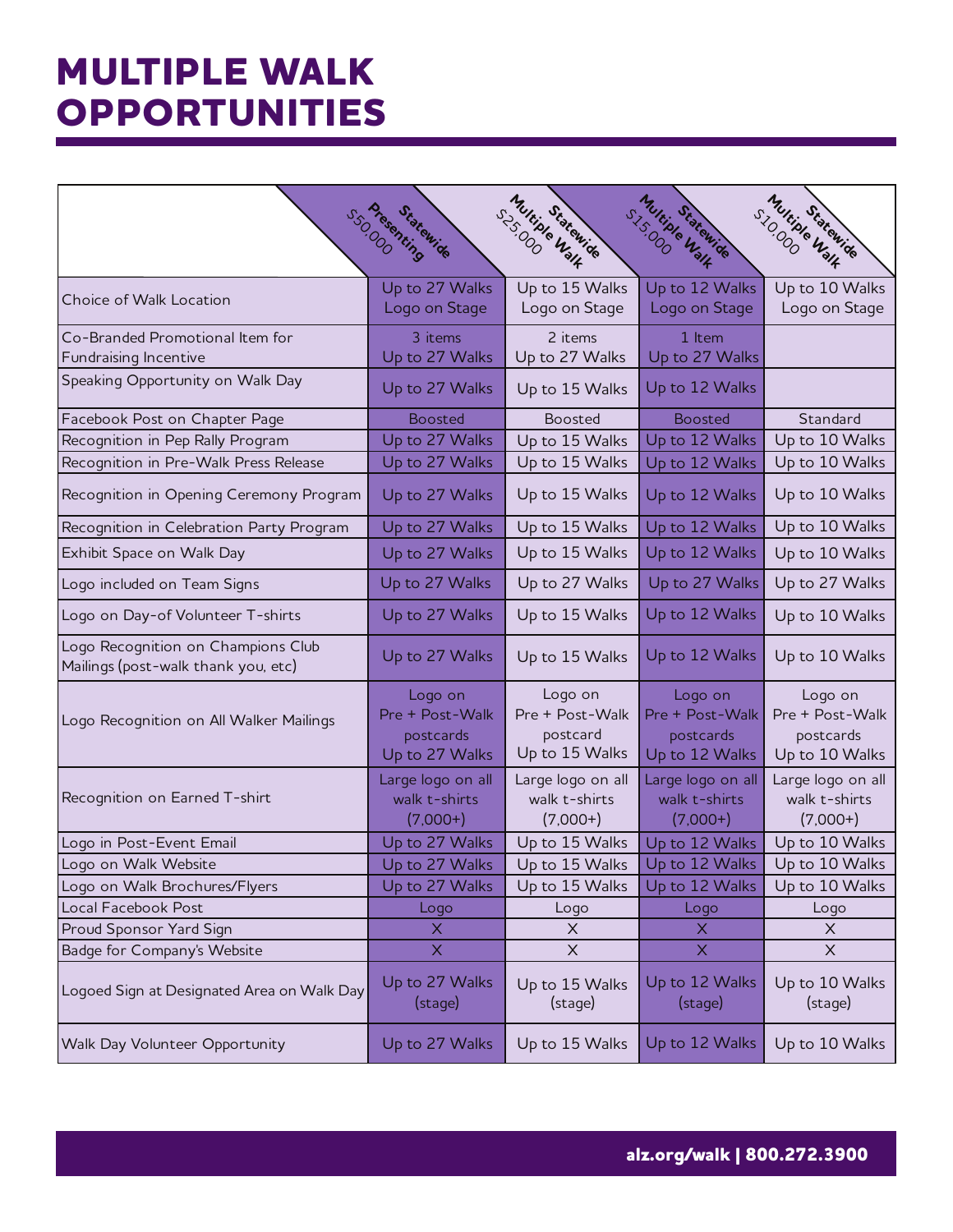## **MULTIPLE WALK OPPORTUNITIES**

|                                                                           |                                                           | Thuring Walk                                             | stscipte Walk                                             | SIOCODE Walk                                              |
|---------------------------------------------------------------------------|-----------------------------------------------------------|----------------------------------------------------------|-----------------------------------------------------------|-----------------------------------------------------------|
|                                                                           | s <sub>550.000</sub> Masoning<br>Statewide                | Statewide                                                | Statewide                                                 | Statewide                                                 |
| Choice of Walk Location                                                   | Up to 27 Walks<br>Logo on Stage                           | Up to 15 Walks<br>Logo on Stage                          | Up to 12 Walks<br>Logo on Stage                           | Up to 10 Walks<br>Logo on Stage                           |
| Co-Branded Promotional Item for                                           | 3 items                                                   | 2 items                                                  | 1 Item                                                    |                                                           |
| Fundraising Incentive                                                     | Up to 27 Walks                                            | Up to 27 Walks                                           | Up to 27 Walks                                            |                                                           |
| Speaking Opportunity on Walk Day                                          | Up to 27 Walks                                            | Up to 15 Walks                                           | Up to 12 Walks                                            |                                                           |
| Facebook Post on Chapter Page                                             | <b>Boosted</b>                                            | <b>Boosted</b>                                           | <b>Boosted</b>                                            | Standard                                                  |
| Recognition in Pep Rally Program                                          | Up to 27 Walks                                            | Up to 15 Walks                                           | Up to 12 Walks                                            | Up to 10 Walks                                            |
| Recognition in Pre-Walk Press Release                                     | Up to 27 Walks                                            | Up to 15 Walks                                           | Up to 12 Walks                                            | Up to 10 Walks                                            |
| Recognition in Opening Ceremony Program                                   | Up to 27 Walks                                            | Up to 15 Walks                                           | Up to 12 Walks                                            | Up to 10 Walks                                            |
| Recognition in Celebration Party Program                                  | Up to 27 Walks                                            | Up to 15 Walks                                           | Up to 12 Walks                                            | Up to 10 Walks                                            |
| Exhibit Space on Walk Day                                                 | Up to 27 Walks                                            | Up to 15 Walks                                           | Up to 12 Walks                                            | Up to 10 Walks                                            |
| Logo included on Team Signs                                               | Up to 27 Walks                                            | Up to 27 Walks                                           | Up to 27 Walks                                            | Up to 27 Walks                                            |
| Logo on Day-of Volunteer T-shirts                                         | Up to 27 Walks                                            | Up to 15 Walks                                           | Up to 12 Walks                                            | Up to 10 Walks                                            |
| Logo Recognition on Champions Club<br>Mailings (post-walk thank you, etc) | Up to 27 Walks                                            | Up to 15 Walks                                           | Up to 12 Walks                                            | Up to 10 Walks                                            |
| Logo Recognition on All Walker Mailings                                   | Logo on<br>Pre + Post-Walk<br>postcards<br>Up to 27 Walks | Logo on<br>Pre + Post-Walk<br>postcard<br>Up to 15 Walks | Logo on<br>Pre + Post-Walk<br>postcards<br>Up to 12 Walks | Logo on<br>Pre + Post-Walk<br>postcards<br>Up to 10 Walks |
| Recognition on Earned T-shirt                                             | Large logo on all<br>walk t-shirts<br>$(7,000+)$          | Large logo on all<br>walk t-shirts<br>$(7,000+)$         | Large logo on all<br>walk t-shirts<br>$(7,000+)$          | Large logo on all<br>walk t-shirts<br>$(7,000+)$          |
| Logo in Post-Event Email                                                  | Up to 27 Walks                                            | Up to 15 Walks                                           | Up to 12 Walks                                            | Up to 10 Walks                                            |
| Logo on Walk Website                                                      | Up to 27 Walks                                            | Up to 15 Walks                                           | Up to 12 Walks                                            | Up to 10 Walks                                            |
| Logo on Walk Brochures/Flyers                                             | Up to 27 Walks                                            | Up to 15 Walks                                           | Up to 12 Walks                                            | Up to 10 Walks                                            |
| Local Facebook Post                                                       | Logo                                                      | Logo                                                     | Logo                                                      | Logo                                                      |
| Proud Sponsor Yard Sign                                                   | Χ                                                         | $\times$                                                 | X                                                         | X                                                         |
| Badge for Company's Website                                               | $\mathsf{X}$                                              | X                                                        | X                                                         | $\times$                                                  |
| Logoed Sign at Designated Area on Walk Day                                | Up to 27 Walks<br>(stage)                                 | Up to 15 Walks<br>(stage)                                | Up to 12 Walks<br>(stage)                                 | Up to 10 Walks<br>(stage)                                 |
| Walk Day Volunteer Opportunity                                            | Up to 27 Walks                                            | Up to 15 Walks                                           | Up to 12 Walks                                            | Up to 10 Walks                                            |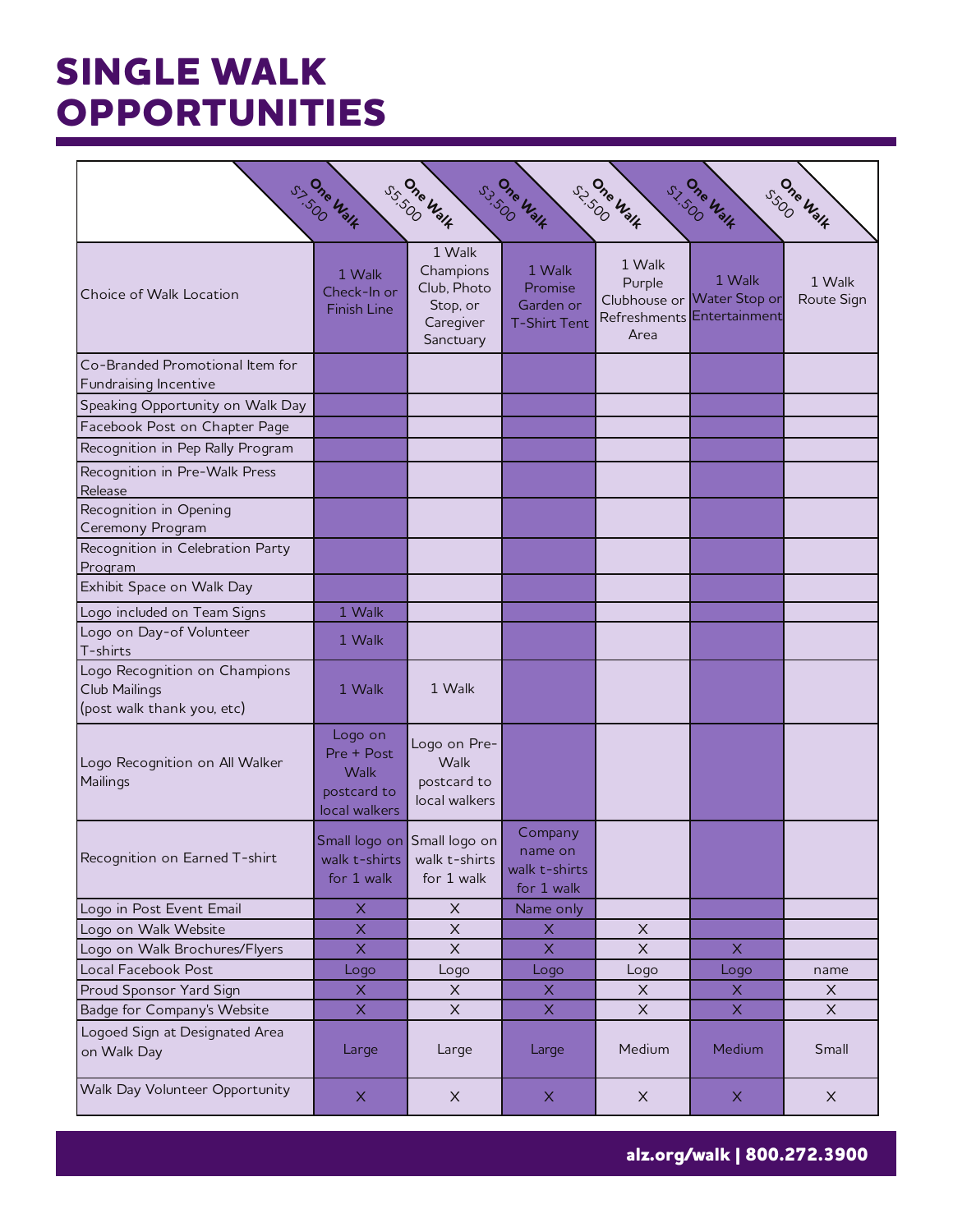## **SINGLE WALK OPPORTUNITIES**

| $S_{SO}^{O_{7_{c}}}\nu_{3}\nu_{4}$<br>S. Sne Walk<br>SS.SOO WALK<br>ss. One Walk<br>S. One Walk<br>S.L.SOO Walk |                                                                      |                                                                          |                                                       |                          |                                                                    |                      |  |
|-----------------------------------------------------------------------------------------------------------------|----------------------------------------------------------------------|--------------------------------------------------------------------------|-------------------------------------------------------|--------------------------|--------------------------------------------------------------------|----------------------|--|
| Choice of Walk Location                                                                                         | 1 Walk<br>Check-In or<br><b>Finish Line</b>                          | 1 Walk<br>Champions<br>Club, Photo<br>Stop, or<br>Caregiver<br>Sanctuary | 1 Walk<br>Promise<br>Garden or<br><b>T-Shirt Tent</b> | 1 Walk<br>Purple<br>Area | 1 Walk<br>Clubhouse or Water Stop or<br>Refreshments Entertainment | 1 Walk<br>Route Sign |  |
| Co-Branded Promotional Item for<br>Fundraising Incentive                                                        |                                                                      |                                                                          |                                                       |                          |                                                                    |                      |  |
| Speaking Opportunity on Walk Day                                                                                |                                                                      |                                                                          |                                                       |                          |                                                                    |                      |  |
| Facebook Post on Chapter Page                                                                                   |                                                                      |                                                                          |                                                       |                          |                                                                    |                      |  |
| Recognition in Pep Rally Program                                                                                |                                                                      |                                                                          |                                                       |                          |                                                                    |                      |  |
| Recognition in Pre-Walk Press                                                                                   |                                                                      |                                                                          |                                                       |                          |                                                                    |                      |  |
| Release<br>Recognition in Opening<br>Ceremony Program                                                           |                                                                      |                                                                          |                                                       |                          |                                                                    |                      |  |
| Recognition in Celebration Party<br>Program                                                                     |                                                                      |                                                                          |                                                       |                          |                                                                    |                      |  |
| Exhibit Space on Walk Day                                                                                       |                                                                      |                                                                          |                                                       |                          |                                                                    |                      |  |
| Logo included on Team Signs                                                                                     | 1 Walk                                                               |                                                                          |                                                       |                          |                                                                    |                      |  |
| Logo on Day-of Volunteer<br>T-shirts                                                                            | 1 Walk                                                               |                                                                          |                                                       |                          |                                                                    |                      |  |
| Logo Recognition on Champions<br>Club Mailings<br>(post walk thank you, etc)                                    | 1 Walk                                                               | 1 Walk                                                                   |                                                       |                          |                                                                    |                      |  |
| Logo Recognition on All Walker<br>Mailings                                                                      | Logo on<br>Pre + Post<br><b>Walk</b><br>postcard to<br>local walkers | Logo on Pre-<br>Walk<br>postcard to<br>local walkers                     |                                                       |                          |                                                                    |                      |  |
| Recognition on Earned T-shirt                                                                                   | Small logo on Small logo on<br>walk t-shirts<br>for 1 walk           | walk t-shirts<br>for 1 walk                                              | Company<br>name on<br>walk t-shirts<br>for 1 walk     |                          |                                                                    |                      |  |
| Logo in Post Event Email                                                                                        | X                                                                    | $\mathsf X$                                                              | Name only                                             |                          |                                                                    |                      |  |
| Logo on Walk Website                                                                                            | $\pmb{\times}$                                                       | $\times$                                                                 | X                                                     | X                        |                                                                    |                      |  |
| Logo on Walk Brochures/Flyers                                                                                   | $\mathsf{X}$                                                         | $\mathsf X$                                                              | $\mathsf{X}$                                          | $\times$                 | $\mathsf{X}$                                                       |                      |  |
| Local Facebook Post                                                                                             | Logo                                                                 | Logo                                                                     | Logo                                                  | Logo                     | Logo                                                               | name                 |  |
| Proud Sponsor Yard Sign                                                                                         | X                                                                    | $\times$                                                                 | X                                                     | X                        | $\mathsf{X}$                                                       | $\times$             |  |
| Badge for Company's Website                                                                                     | $\times$                                                             | $\mathsf X$                                                              | $\mathsf{X}$                                          | X                        | $\mathsf{X}^{\scriptscriptstyle{+}}$                               | $\mathsf{X}$         |  |
| Logoed Sign at Designated Area<br>on Walk Day                                                                   | Large                                                                | Large                                                                    | Large                                                 | Medium                   | Medium                                                             | Small                |  |
| Walk Day Volunteer Opportunity                                                                                  | X                                                                    | $\times$                                                                 | $\mathsf X$                                           | $\times$                 | $\mathsf{X}$                                                       | $\times$             |  |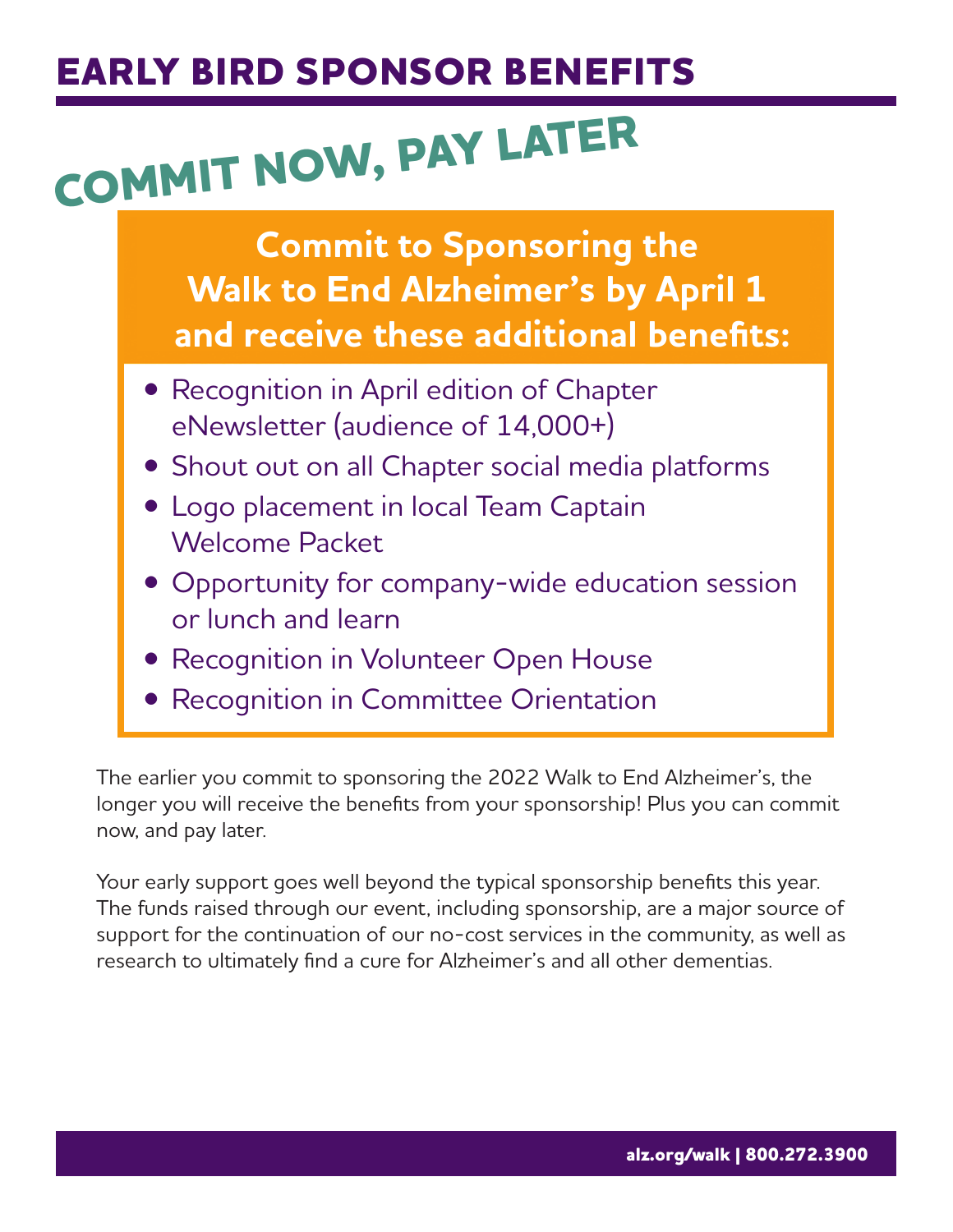## **EARLY BIRD SPONSOR BENEFITS**

# COMMIT NOW, PAY LATER

**Commit to Sponsoring the Walk to End Alzheimer's by April 1** and receive these additional benefits:

- Recognition in April edition of Chapter eNewsletter (audience of 14,000+)
- Shout out on all Chapter social media platforms
- Logo placement in local Team Captain **Welcome Packet**
- Opportunity for company-wide education session or lunch and learn
- Recognition in Volunteer Open House
- Recognition in Committee Orientation

The earlier you commit to sponsoring the 2022 Walk to End Alzheimer's, the longer you will receive the benefits from your sponsorship! Plus you can commit now, and pay later.

Your early support goes well beyond the typical sponsorship benefits this year. The funds raised through our event, including sponsorship, are a major source of support for the continuation of our no-cost services in the community, as well as research to ultimately find a cure for Alzheimer's and all other dementias.